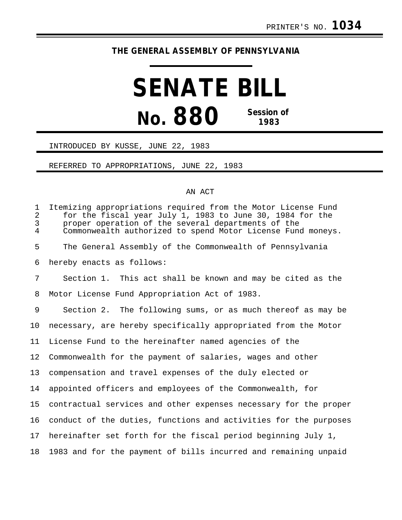## **THE GENERAL ASSEMBLY OF PENNSYLVANIA**

# **SENATE BILL No. 880 Session of 1983 1983**

#### INTRODUCED BY KUSSE, JUNE 22, 1983

#### REFERRED TO APPROPRIATIONS, JUNE 22, 1983

### AN ACT

| $\mathbf 1$<br>$\overline{c}$<br>$\mathsf{3}$<br>$\overline{4}$ | Itemizing appropriations required from the Motor License Fund<br>for the fiscal year July 1, 1983 to June 30, 1984 for the<br>proper operation of the several departments of the<br>Commonwealth authorized to spend Motor License Fund moneys. |
|-----------------------------------------------------------------|-------------------------------------------------------------------------------------------------------------------------------------------------------------------------------------------------------------------------------------------------|
| 5                                                               | The General Assembly of the Commonwealth of Pennsylvania                                                                                                                                                                                        |
| 6                                                               | hereby enacts as follows:                                                                                                                                                                                                                       |
| 7                                                               | Section 1. This act shall be known and may be cited as the                                                                                                                                                                                      |
| 8                                                               | Motor License Fund Appropriation Act of 1983.                                                                                                                                                                                                   |
| 9                                                               | Section 2. The following sums, or as much thereof as may be                                                                                                                                                                                     |
| 10                                                              | necessary, are hereby specifically appropriated from the Motor                                                                                                                                                                                  |
| 11                                                              | License Fund to the hereinafter named agencies of the                                                                                                                                                                                           |
| 12                                                              | Commonwealth for the payment of salaries, wages and other                                                                                                                                                                                       |
| 13                                                              | compensation and travel expenses of the duly elected or                                                                                                                                                                                         |
| 14                                                              | appointed officers and employees of the Commonwealth, for                                                                                                                                                                                       |
| 15                                                              | contractual services and other expenses necessary for the proper                                                                                                                                                                                |
| 16                                                              | conduct of the duties, functions and activities for the purposes                                                                                                                                                                                |
| 17                                                              | hereinafter set forth for the fiscal period beginning July 1,                                                                                                                                                                                   |
| 18                                                              | 1983 and for the payment of bills incurred and remaining unpaid                                                                                                                                                                                 |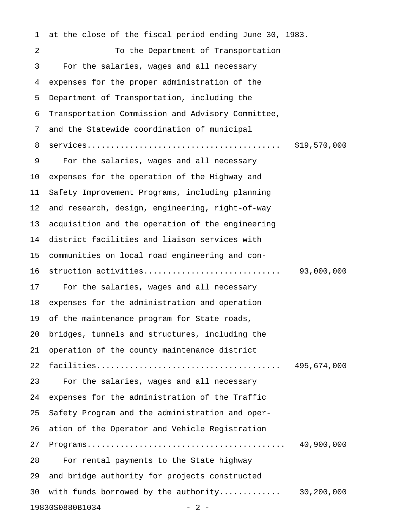1 at the close of the fiscal period ending June 30, 1983. 2 To the Department of Transportation 3 For the salaries, wages and all necessary 4 expenses for the proper administration of the 5 Department of Transportation, including the 6 Transportation Commission and Advisory Committee, 7 and the Statewide coordination of municipal 8 services......................................... \$19,570,000 9 For the salaries, wages and all necessary 10 expenses for the operation of the Highway and 11 Safety Improvement Programs, including planning 12 and research, design, engineering, right-of-way 13 acquisition and the operation of the engineering 14 district facilities and liaison services with 15 communities on local road engineering and con-16 struction activities............................. 93,000,000 17 For the salaries, wages and all necessary 18 expenses for the administration and operation 19 of the maintenance program for State roads, 20 bridges, tunnels and structures, including the 21 operation of the county maintenance district 22 facilities....................................... 495,674,000 23 For the salaries, wages and all necessary 24 expenses for the administration of the Traffic 25 Safety Program and the administration and oper-26 ation of the Operator and Vehicle Registration 27 Programs.......................................... 40,900,000 28 For rental payments to the State highway 29 and bridge authority for projects constructed 30 with funds borrowed by the authority............. 30,200,000 19830S0880B1034 - 2 -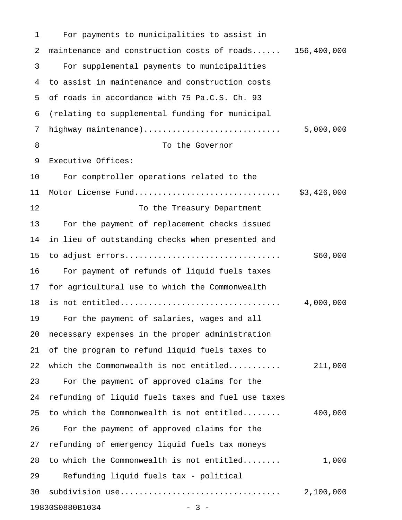1 For payments to municipalities to assist in 2 maintenance and construction costs of roads...... 156,400,000 3 For supplemental payments to municipalities 4 to assist in maintenance and construction costs 5 of roads in accordance with 75 Pa.C.S. Ch. 93 6 (relating to supplemental funding for municipal 7 highway maintenance)............................. 5,000,000 8 To the Governor 9 Executive Offices: 10 For comptroller operations related to the 11 Motor License Fund............................... \$3,426,000 12 To the Treasury Department 13 For the payment of replacement checks issued 14 in lieu of outstanding checks when presented and 15 to adjust errors................................. \$60,000 16 For payment of refunds of liquid fuels taxes 17 for agricultural use to which the Commonwealth 18 is not entitled.................................. 4,000,000 19 For the payment of salaries, wages and all 20 necessary expenses in the proper administration 21 of the program to refund liquid fuels taxes to 22 which the Commonwealth is not entitled........... 211,000 23 For the payment of approved claims for the 24 refunding of liquid fuels taxes and fuel use taxes 25 to which the Commonwealth is not entitled........ 400,000 26 For the payment of approved claims for the 27 refunding of emergency liquid fuels tax moneys 28 to which the Commonwealth is not entitled........ 1,000 29 Refunding liquid fuels tax - political 30 subdivision use.................................. 2,100,000 19830S0880B1034 - 3 -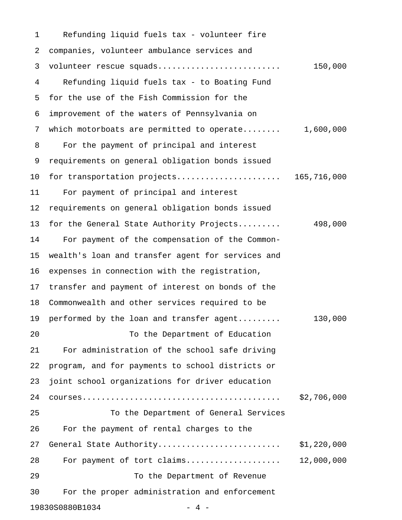1 Refunding liquid fuels tax - volunteer fire 2 companies, volunteer ambulance services and 3 volunteer rescue squads.......................... 150,000 4 Refunding liquid fuels tax - to Boating Fund 5 for the use of the Fish Commission for the 6 improvement of the waters of Pennsylvania on 7 which motorboats are permitted to operate........ 1,600,000 8 For the payment of principal and interest 9 requirements on general obligation bonds issued 10 for transportation projects............................ 165,716,000 11 For payment of principal and interest 12 requirements on general obligation bonds issued 13 for the General State Authority Projects......... 498,000 14 For payment of the compensation of the Common-15 wealth's loan and transfer agent for services and 16 expenses in connection with the registration, 17 transfer and payment of interest on bonds of the 18 Commonwealth and other services required to be 19 performed by the loan and transfer agent......... 130,000 20 To the Department of Education 21 For administration of the school safe driving 22 program, and for payments to school districts or 23 joint school organizations for driver education 24 courses.......................................... \$2,706,000 25 To the Department of General Services 26 For the payment of rental charges to the 27 General State Authority.......................... \$1,220,000 28 For payment of tort claims.................... 12,000,000 29 To the Department of Revenue 30 For the proper administration and enforcement 19830S0880B1034 - 4 -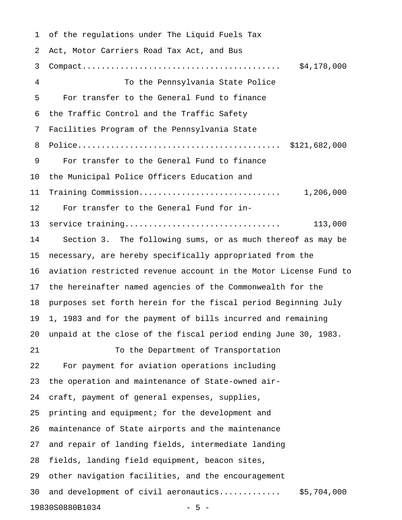1 of the regulations under The Liquid Fuels Tax 2 Act, Motor Carriers Road Tax Act, and Bus 3 Compact.......................................... \$4,178,000 4 To the Pennsylvania State Police 5 For transfer to the General Fund to finance 6 the Traffic Control and the Traffic Safety 7 Facilities Program of the Pennsylvania State 8 Police........................................... \$121,682,000 9 For transfer to the General Fund to finance 10 the Municipal Police Officers Education and 11 Training Commission.............................. 1,206,000 12 For transfer to the General Fund for in-13 service training................................. 113,000 14 Section 3. The following sums, or as much thereof as may be 15 necessary, are hereby specifically appropriated from the 16 aviation restricted revenue account in the Motor License Fund to 17 the hereinafter named agencies of the Commonwealth for the 18 purposes set forth herein for the fiscal period Beginning July 19 1, 1983 and for the payment of bills incurred and remaining 20 unpaid at the close of the fiscal period ending June 30, 1983. 21 To the Department of Transportation 22 For payment for aviation operations including 23 the operation and maintenance of State-owned air-24 craft, payment of general expenses, supplies, 25 printing and equipment; for the development and 26 maintenance of State airports and the maintenance 27 and repair of landing fields, intermediate landing 28 fields, landing field equipment, beacon sites, 29 other navigation facilities, and the encouragement 30 and development of civil aeronautics............. \$5,704,000 19830S0880B1034 - 5 -